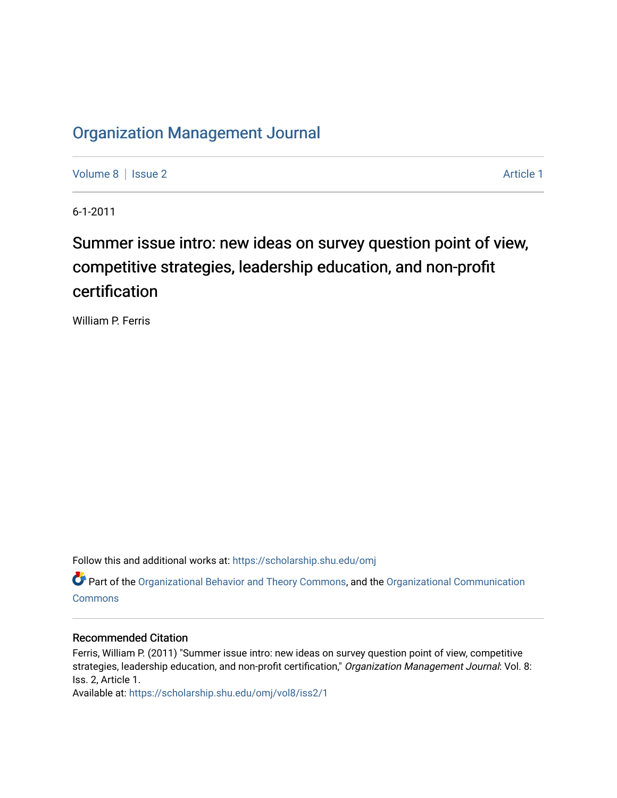### [Organization Management Journal](https://scholarship.shu.edu/omj)

[Volume 8](https://scholarship.shu.edu/omj/vol8) | [Issue 2](https://scholarship.shu.edu/omj/vol8/iss2) Article 1

6-1-2011

## Summer issue intro: new ideas on survey question point of view, competitive strategies, leadership education, and non-profit certification

William P. Ferris

Follow this and additional works at: [https://scholarship.shu.edu/omj](https://scholarship.shu.edu/omj?utm_source=scholarship.shu.edu%2Fomj%2Fvol8%2Fiss2%2F1&utm_medium=PDF&utm_campaign=PDFCoverPages) 

Part of the [Organizational Behavior and Theory Commons,](http://network.bepress.com/hgg/discipline/639?utm_source=scholarship.shu.edu%2Fomj%2Fvol8%2Fiss2%2F1&utm_medium=PDF&utm_campaign=PDFCoverPages) and the [Organizational Communication](http://network.bepress.com/hgg/discipline/335?utm_source=scholarship.shu.edu%2Fomj%2Fvol8%2Fiss2%2F1&utm_medium=PDF&utm_campaign=PDFCoverPages) **[Commons](http://network.bepress.com/hgg/discipline/335?utm_source=scholarship.shu.edu%2Fomj%2Fvol8%2Fiss2%2F1&utm_medium=PDF&utm_campaign=PDFCoverPages)** 

#### Recommended Citation

Ferris, William P. (2011) "Summer issue intro: new ideas on survey question point of view, competitive strategies, leadership education, and non-profit certification," Organization Management Journal: Vol. 8: Iss. 2, Article 1.

Available at: [https://scholarship.shu.edu/omj/vol8/iss2/1](https://scholarship.shu.edu/omj/vol8/iss2/1?utm_source=scholarship.shu.edu%2Fomj%2Fvol8%2Fiss2%2F1&utm_medium=PDF&utm_campaign=PDFCoverPages)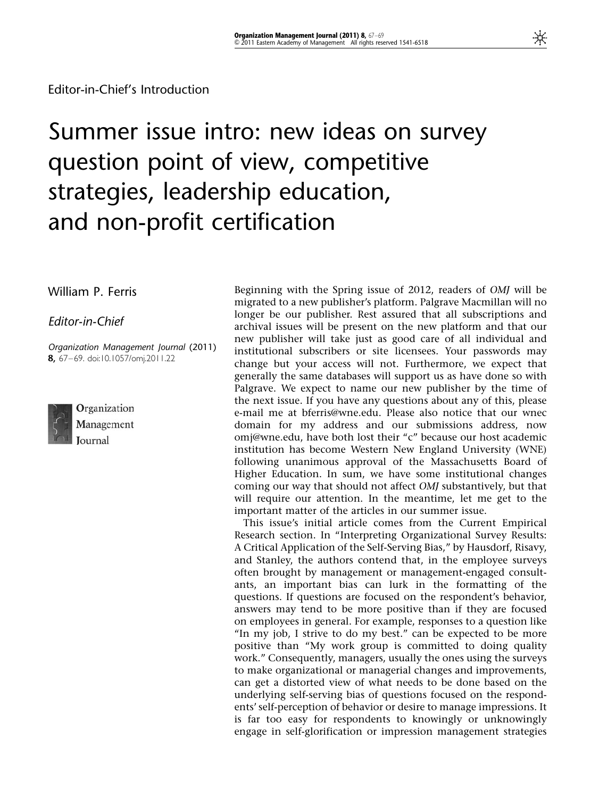# Summer issue intro: new ideas on survey question point of view, competitive strategies, leadership education, and non-profit certification

#### William P. Ferris

Editor-in-Chief

Organization Management Journal (2011) 8, 67–69. doi:10.1057/omj.2011.22



Organization Management Journal

Beginning with the Spring issue of 2012, readers of OMJ will be migrated to a new publisher's platform. Palgrave Macmillan will no longer be our publisher. Rest assured that all subscriptions and archival issues will be present on the new platform and that our new publisher will take just as good care of all individual and institutional subscribers or site licensees. Your passwords may change but your access will not. Furthermore, we expect that generally the same databases will support us as have done so with Palgrave. We expect to name our new publisher by the time of the next issue. If you have any questions about any of this, please e-mail me at bferris@wne.edu. Please also notice that our wnec domain for my address and our submissions address, now omj@wne.edu, have both lost their "c" because our host academic institution has become Western New England University (WNE) following unanimous approval of the Massachusetts Board of Higher Education. In sum, we have some institutional changes coming our way that should not affect OMJ substantively, but that will require our attention. In the meantime, let me get to the important matter of the articles in our summer issue.

This issue's initial article comes from the Current Empirical Research section. In "Interpreting Organizational Survey Results: A Critical Application of the Self-Serving Bias," by Hausdorf, Risavy, and Stanley, the authors contend that, in the employee surveys often brought by management or management-engaged consultants, an important bias can lurk in the formatting of the questions. If questions are focused on the respondent's behavior, answers may tend to be more positive than if they are focused on employees in general. For example, responses to a question like "In my job, I strive to do my best." can be expected to be more positive than "My work group is committed to doing quality work." Consequently, managers, usually the ones using the surveys to make organizational or managerial changes and improvements, can get a distorted view of what needs to be done based on the underlying self-serving bias of questions focused on the respondents' self-perception of behavior or desire to manage impressions. It is far too easy for respondents to knowingly or unknowingly engage in self-glorification or impression management strategies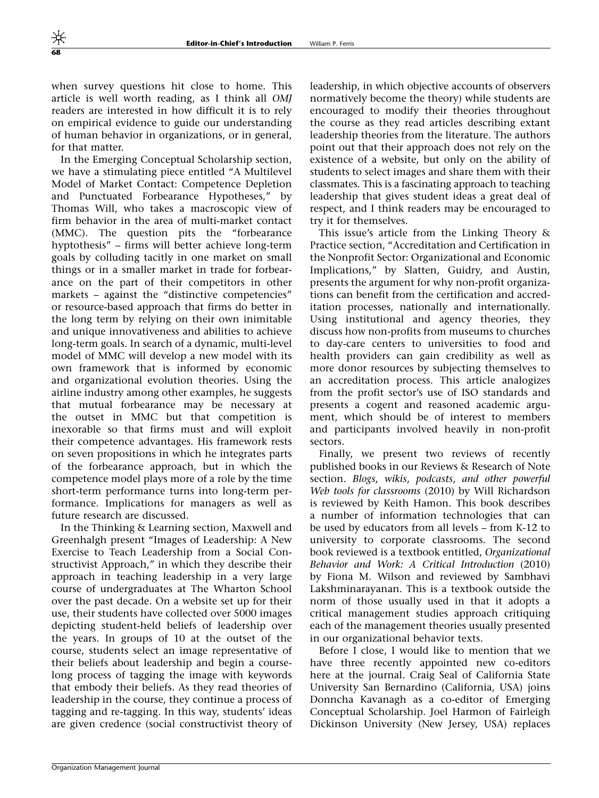when survey questions hit close to home. This article is well worth reading, as I think all OMJ readers are interested in how difficult it is to rely on empirical evidence to guide our understanding of human behavior in organizations, or in general, for that matter.

In the Emerging Conceptual Scholarship section, we have a stimulating piece entitled "A Multilevel Model of Market Contact: Competence Depletion and Punctuated Forbearance Hypotheses," by Thomas Will, who takes a macroscopic view of firm behavior in the area of multi-market contact (MMC). The question pits the "forbearance hyptothesis" – firms will better achieve long-term goals by colluding tacitly in one market on small things or in a smaller market in trade for forbearance on the part of their competitors in other markets – against the "distinctive competencies" or resource-based approach that firms do better in the long term by relying on their own inimitable and unique innovativeness and abilities to achieve long-term goals. In search of a dynamic, multi-level model of MMC will develop a new model with its own framework that is informed by economic and organizational evolution theories. Using the airline industry among other examples, he suggests that mutual forbearance may be necessary at the outset in MMC but that competition is inexorable so that firms must and will exploit their competence advantages. His framework rests on seven propositions in which he integrates parts of the forbearance approach, but in which the competence model plays more of a role by the time short-term performance turns into long-term performance. Implications for managers as well as future research are discussed.

In the Thinking & Learning section, Maxwell and Greenhalgh present "Images of Leadership: A New Exercise to Teach Leadership from a Social Constructivist Approach," in which they describe their approach in teaching leadership in a very large course of undergraduates at The Wharton School over the past decade. On a website set up for their use, their students have collected over 5000 images depicting student-held beliefs of leadership over the years. In groups of 10 at the outset of the course, students select an image representative of their beliefs about leadership and begin a courselong process of tagging the image with keywords that embody their beliefs. As they read theories of leadership in the course, they continue a process of tagging and re-tagging. In this way, students' ideas are given credence (social constructivist theory of leadership, in which objective accounts of observers normatively become the theory) while students are encouraged to modify their theories throughout the course as they read articles describing extant leadership theories from the literature. The authors point out that their approach does not rely on the existence of a website, but only on the ability of students to select images and share them with their classmates. This is a fascinating approach to teaching leadership that gives student ideas a great deal of respect, and I think readers may be encouraged to try it for themselves.

This issue's article from the Linking Theory & Practice section, "Accreditation and Certification in the Nonprofit Sector: Organizational and Economic Implications," by Slatten, Guidry, and Austin, presents the argument for why non-profit organizations can benefit from the certification and accreditation processes, nationally and internationally. Using institutional and agency theories, they discuss how non-profits from museums to churches to day-care centers to universities to food and health providers can gain credibility as well as more donor resources by subjecting themselves to an accreditation process. This article analogizes from the profit sector's use of ISO standards and presents a cogent and reasoned academic argument, which should be of interest to members and participants involved heavily in non-profit sectors.

Finally, we present two reviews of recently published books in our Reviews & Research of Note section. Blogs, wikis, podcasts, and other powerful Web tools for classrooms (2010) by Will Richardson is reviewed by Keith Hamon. This book describes a number of information technologies that can be used by educators from all levels – from K-12 to university to corporate classrooms. The second book reviewed is a textbook entitled, Organizational Behavior and Work: A Critical Introduction (2010) by Fiona M. Wilson and reviewed by Sambhavi Lakshminarayanan. This is a textbook outside the norm of those usually used in that it adopts a critical management studies approach critiquing each of the management theories usually presented in our organizational behavior texts.

Before I close, I would like to mention that we have three recently appointed new co-editors here at the journal. Craig Seal of California State University San Bernardino (California, USA) joins Donncha Kavanagh as a co-editor of Emerging Conceptual Scholarship. Joel Harmon of Fairleigh Dickinson University (New Jersey, USA) replaces